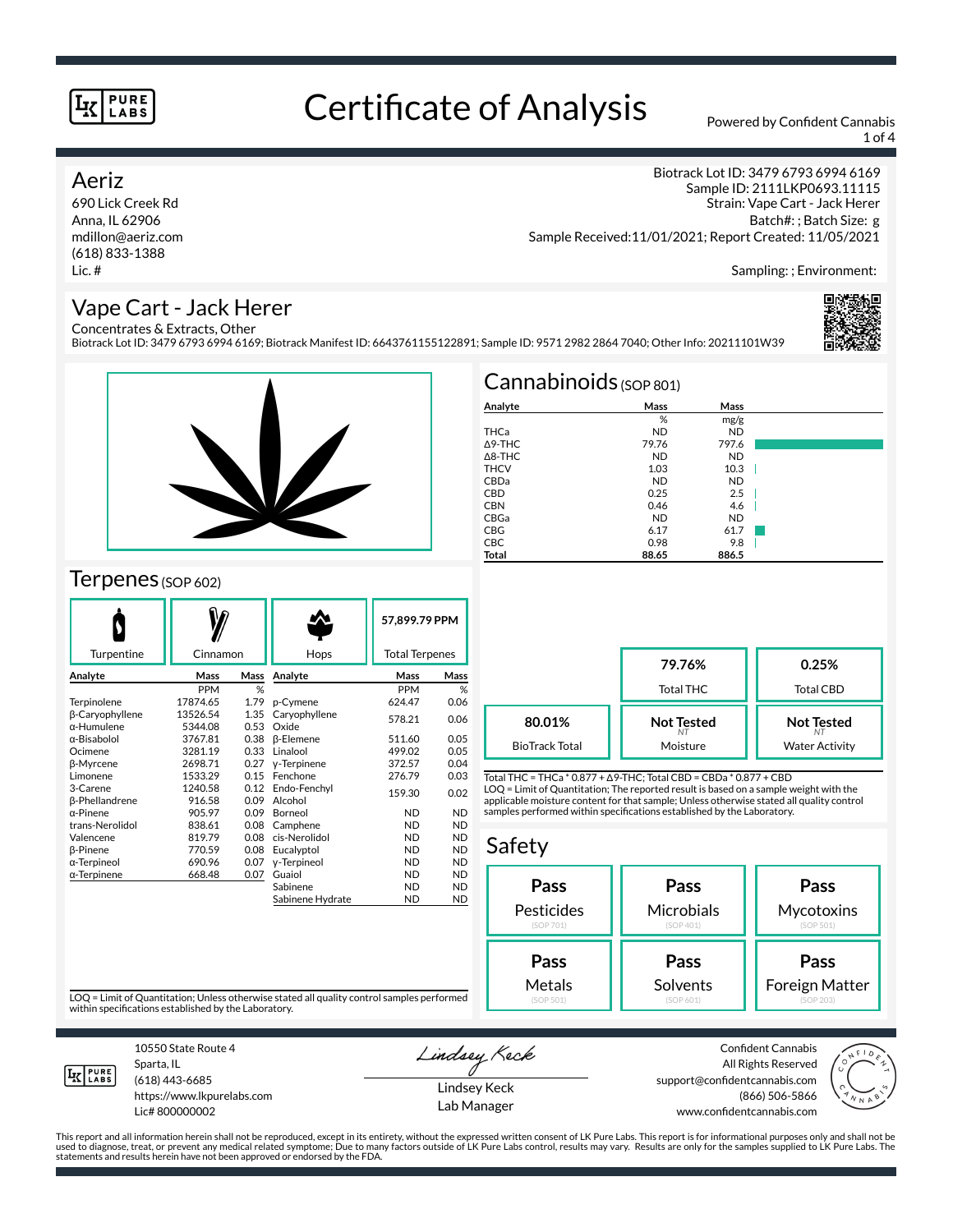# Certificate of Analysis Powered by Confident Cannabis

1 of 4

## Aeriz

690 Lick Creek Rd Anna, IL 62906 mdillon@aeriz.com (618) 833-1388 Lic. #

Biotrack Lot ID: 3479 6793 6994 6169 Sample ID: 2111LKP0693.11115 Strain: Vape Cart - Jack Herer Batch#: ; Batch Size: g Sample Received:11/01/2021; Report Created: 11/05/2021

Sampling: ; Environment:

# Vape Cart - Jack Herer

Concentrates & Extracts, Other Biotrack Lot ID: 3479 6793 6994 6169; Biotrack Manifest ID: 6643761155122891; Sample ID: 9571 2982 2864 7040; Other Info: 20211101W39





# Terpenes (SOP 602)

| Turpentine             | Cinnamon        |      | Hops             | 57.899.79 PPM<br><b>Total Terpenes</b> |           |
|------------------------|-----------------|------|------------------|----------------------------------------|-----------|
|                        |                 |      |                  |                                        |           |
| Analyte                | Mass            | Mass | Analyte          | Mass                                   | Mass      |
|                        | <b>PPM</b>      | %    |                  | <b>PPM</b>                             | %         |
| Terpinolene            | 17874.65        | 1.79 | p-Cymene         | 624.47                                 | 0.06      |
| <b>B-Caryophyllene</b> | 13526.54        | 1.35 | Caryophyllene    | 578.21                                 | 0.06      |
| α-Humulene             | 5344.08         | 0.53 | Oxide            |                                        |           |
| α-Bisabolol            | 3767.81         | 0.38 | <b>B-Elemene</b> | 511.60                                 | 0.05      |
| Ocimene                | 0.33<br>3281.19 |      | Linalool         | 499.02                                 | 0.05      |
| <b>B-Myrcene</b>       | 0.27<br>2698.71 |      | y-Terpinene      | 372.57                                 | 0.04      |
| Limonene               | 0.15<br>1533.29 |      | Fenchone         | 276.79                                 | 0.03      |
| 3-Carene               | 1240.58         | 0.12 | Endo-Fenchyl     | 159.30                                 | 0.02      |
| <b>ß-Phellandrene</b>  | 916.58          | 0.09 | Alcohol          |                                        |           |
| $\alpha$ -Pinene       | 905.97          | 0.09 | Borneol          | <b>ND</b>                              | <b>ND</b> |
| trans-Nerolidol        | 838.61          | 0.08 | Camphene         | <b>ND</b>                              | <b>ND</b> |
| Valencene              | 819.79          | 0.08 | cis-Nerolidol    | <b>ND</b>                              | <b>ND</b> |
| β-Pinene               | 770.59          | 0.08 | Eucalyptol       | <b>ND</b>                              | <b>ND</b> |
| α-Terpineol            | 690.96          | 0.07 | y-Terpineol      | <b>ND</b>                              | <b>ND</b> |
| α-Terpinene            | 668.48          | 0.07 | Guaiol           | <b>ND</b>                              | <b>ND</b> |
|                        |                 |      | Sabinene         | <b>ND</b>                              | <b>ND</b> |
|                        |                 |      | Sabinene Hydrate | <b>ND</b>                              | <b>ND</b> |

| $Cannabinoids_{(SOP 801)}$ |           |           |  |
|----------------------------|-----------|-----------|--|
| Analyte                    | Mass      | Mass      |  |
|                            | %         | mg/g      |  |
| THCa                       | <b>ND</b> | <b>ND</b> |  |
| Δ9-THC                     | 79.76     | 797.6     |  |
| $\triangle$ 8-THC          | <b>ND</b> | <b>ND</b> |  |
| <b>THCV</b>                | 1.03      | 10.3      |  |
| CBDa                       | <b>ND</b> | <b>ND</b> |  |
| <b>CBD</b>                 | 0.25      | 2.5       |  |
| <b>CBN</b>                 | 0.46      | 4.6       |  |
| CBGa                       | <b>ND</b> | <b>ND</b> |  |
| <b>CBG</b>                 | 6.17      | 61.7      |  |
| <b>CBC</b>                 | 0.98      | 9.8       |  |
| Total                      | 88.65     | 886.5     |  |

|                       | 79.76%<br><b>Total THC</b> | 0.25%<br>Total CBD    |
|-----------------------|----------------------------|-----------------------|
| 80.01%                | <b>Not Tested</b>          | <b>Not Tested</b>     |
| <b>BioTrack Total</b> | Moisture                   | <b>Water Activity</b> |

Total THC = THCa \* 0.877 + ∆9-THC; Total CBD = CBDa \* 0.877 + CBD LOQ = Limit of Quantitation; The reported result is based on a sample weight with the applicable moisture content for that sample; Unless otherwise stated all quality control samples performed within specifications established by the Laboratory.

# Safety

| Pass       | Pass       | Pass           |
|------------|------------|----------------|
| Pesticides | Microbials | Mycotoxins     |
| (SOP 701)  | (SOP 401)  | (SOP 501)      |
| Pass       | Pass       | Pass           |
| Metals     | Solvents   | Foreign Matter |
| (SOP 501)  | (SOP 601)  | (SOP 203)      |

LOQ = Limit of Quantitation; Unless otherwise stated all quality control samples performed within specifications established by the Laboratory.



10550 State Route 4 Sparta, IL (618) 443-6685

https://www.lkpurelabs.com Lic# 800000002

Lindsey Keck

Lindsey Keck Lab Manager

Confident Cannabis All Rights Reserved support@confidentcannabis.com (866) 506-5866 www.confidentcannabis.com

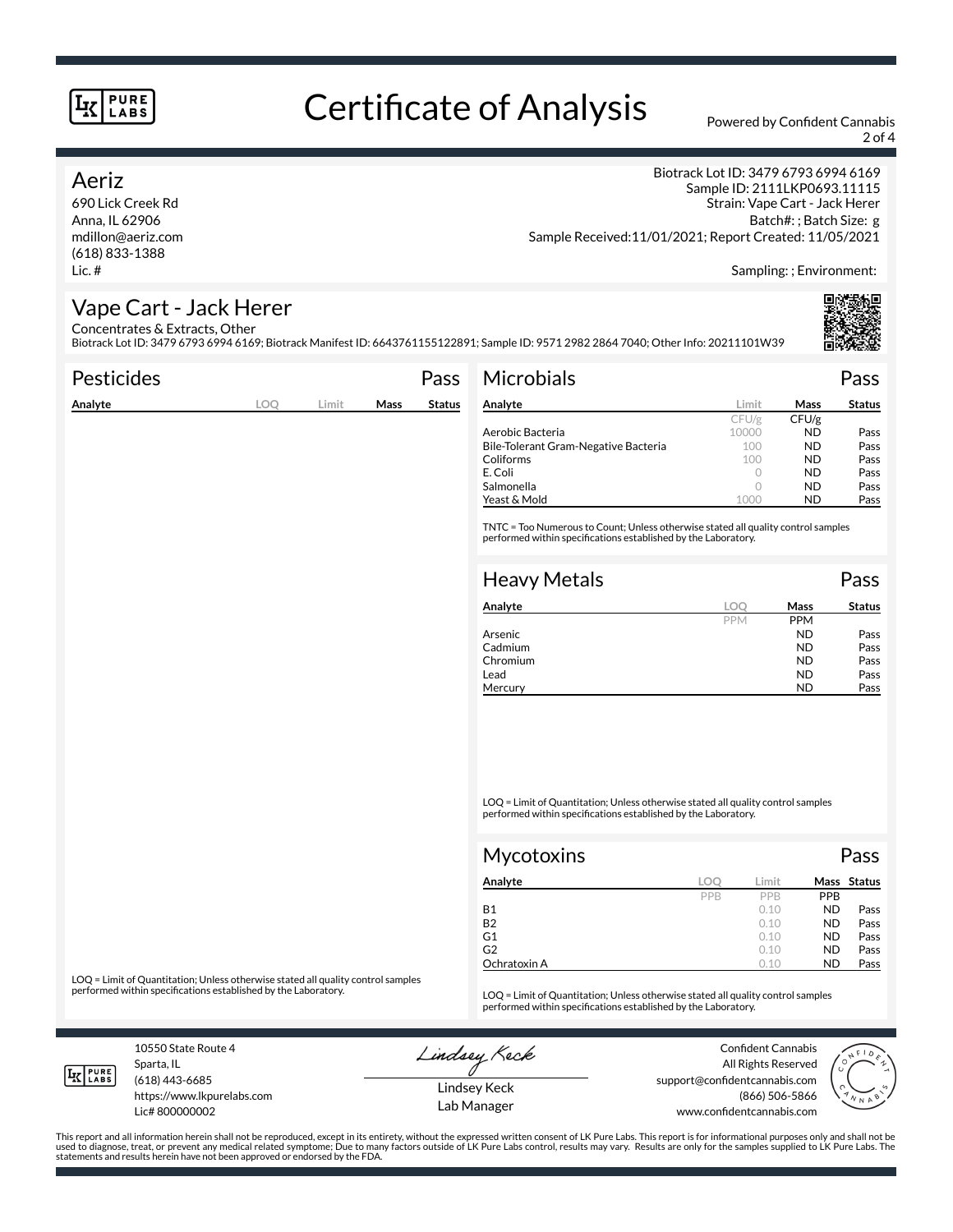# Certificate of Analysis Powered by Confident Cannabis

2 of 4

## Aeriz

690 Lick Creek Rd Anna, IL 62906 mdillon@aeriz.com (618) 833-1388 Lic. #

Biotrack Lot ID: 3479 6793 6994 6169 Sample ID: 2111LKP0693.11115 Strain: Vape Cart - Jack Herer Batch#: ; Batch Size: g Sample Received:11/01/2021; Report Created: 11/05/2021

Sampling: ; Environment:

# Vape Cart - Jack Herer

Concentrates & Extracts, Other Biotrack Lot ID: 3479 6793 6994 6169; Biotrack Manifest ID: 6643761155122891; Sample ID: 9571 2982 2864 7040; Other Info: 20211101W39

|            |       |      | Pass          | <b>Microbials</b>   |                                                                                                                                                          |                                                                                                                     | Pass                                                                                                                                                                                                                |
|------------|-------|------|---------------|---------------------|----------------------------------------------------------------------------------------------------------------------------------------------------------|---------------------------------------------------------------------------------------------------------------------|---------------------------------------------------------------------------------------------------------------------------------------------------------------------------------------------------------------------|
| <b>LOO</b> | Limit | Mass | <b>Status</b> | Analyte             | Limit                                                                                                                                                    | <b>Mass</b>                                                                                                         | <b>Status</b>                                                                                                                                                                                                       |
|            |       |      |               |                     | CFU/g                                                                                                                                                    | CFU/g                                                                                                               |                                                                                                                                                                                                                     |
|            |       |      |               |                     |                                                                                                                                                          |                                                                                                                     | Pass                                                                                                                                                                                                                |
|            |       |      |               |                     |                                                                                                                                                          |                                                                                                                     | Pass                                                                                                                                                                                                                |
|            |       |      |               |                     |                                                                                                                                                          |                                                                                                                     | Pass                                                                                                                                                                                                                |
|            |       |      |               |                     |                                                                                                                                                          |                                                                                                                     | Pass                                                                                                                                                                                                                |
|            |       |      |               |                     |                                                                                                                                                          |                                                                                                                     | Pass                                                                                                                                                                                                                |
|            |       |      |               |                     |                                                                                                                                                          |                                                                                                                     | Pass                                                                                                                                                                                                                |
|            |       |      |               | <b>Heavy Metals</b> |                                                                                                                                                          |                                                                                                                     | Pass                                                                                                                                                                                                                |
|            |       |      |               | Analyte             | <b>LOO</b>                                                                                                                                               | Mass                                                                                                                | <b>Status</b>                                                                                                                                                                                                       |
|            |       |      |               |                     | PPM                                                                                                                                                      | <b>PPM</b>                                                                                                          |                                                                                                                                                                                                                     |
|            |       |      |               | Arsenic             |                                                                                                                                                          | <b>ND</b>                                                                                                           | Pass                                                                                                                                                                                                                |
|            |       |      |               |                     |                                                                                                                                                          |                                                                                                                     | Pass                                                                                                                                                                                                                |
|            |       |      |               |                     |                                                                                                                                                          |                                                                                                                     | Pass                                                                                                                                                                                                                |
|            |       |      |               |                     |                                                                                                                                                          |                                                                                                                     | Pass                                                                                                                                                                                                                |
|            |       |      |               |                     |                                                                                                                                                          |                                                                                                                     | Pass                                                                                                                                                                                                                |
|            |       |      |               |                     |                                                                                                                                                          |                                                                                                                     |                                                                                                                                                                                                                     |
|            |       |      |               |                     | Aerobic Bacteria<br>Bile-Tolerant Gram-Negative Bacteria<br>Coliforms<br>E. Coli<br>Salmonella<br>Yeast & Mold<br>Cadmium<br>Chromium<br>Lead<br>Mercury | 10000<br>100<br>100<br>$\circ$<br>$\circ$<br>1000<br>performed within specifications established by the Laboratory. | <b>ND</b><br><b>ND</b><br><b>ND</b><br><b>ND</b><br><b>ND</b><br><b>ND</b><br>TNTC = Too Numerous to Count; Unless otherwise stated all quality control samples<br><b>ND</b><br><b>ND</b><br><b>ND</b><br><b>ND</b> |

LOQ = Limit of Quantitation; Unless otherwise stated all quality control samples performed within specifications established by the Laboratory.

| <b>Mycotoxins</b> |     |       |            | Pass        |  |
|-------------------|-----|-------|------------|-------------|--|
| Analyte           | LOC | Limit |            | Mass Status |  |
|                   | PPB | PPB   | <b>PPB</b> |             |  |
| <b>B1</b>         |     | 0.10  | <b>ND</b>  | Pass        |  |
| <b>B2</b>         |     | 0.10  | <b>ND</b>  | Pass        |  |
| G <sub>1</sub>    |     | 0.10  | <b>ND</b>  | Pass        |  |
| G <sub>2</sub>    |     | 0.10  | <b>ND</b>  | Pass        |  |
| Ochratoxin A      |     | 0.10  | <b>ND</b>  | Pass        |  |

LOQ = Limit of Quantitation; Unless otherwise stated all quality control samples<br>performed within specifications established by the Laboratory.

LOQ = Limit of Quantitation; Unless otherwise stated all quality control samples performed within specifications established by the Laboratory.

10550 State Route 4 Sparta, IL (618) 443-6685

**LK** LABS

Lic# 800000002

https://www.lkpurelabs.com

Lindsey Keck

Confident Cannabis All Rights Reserved support@confidentcannabis.com (866) 506-5866 www.confidentcannabis.com



Lindsey Keck Lab Manager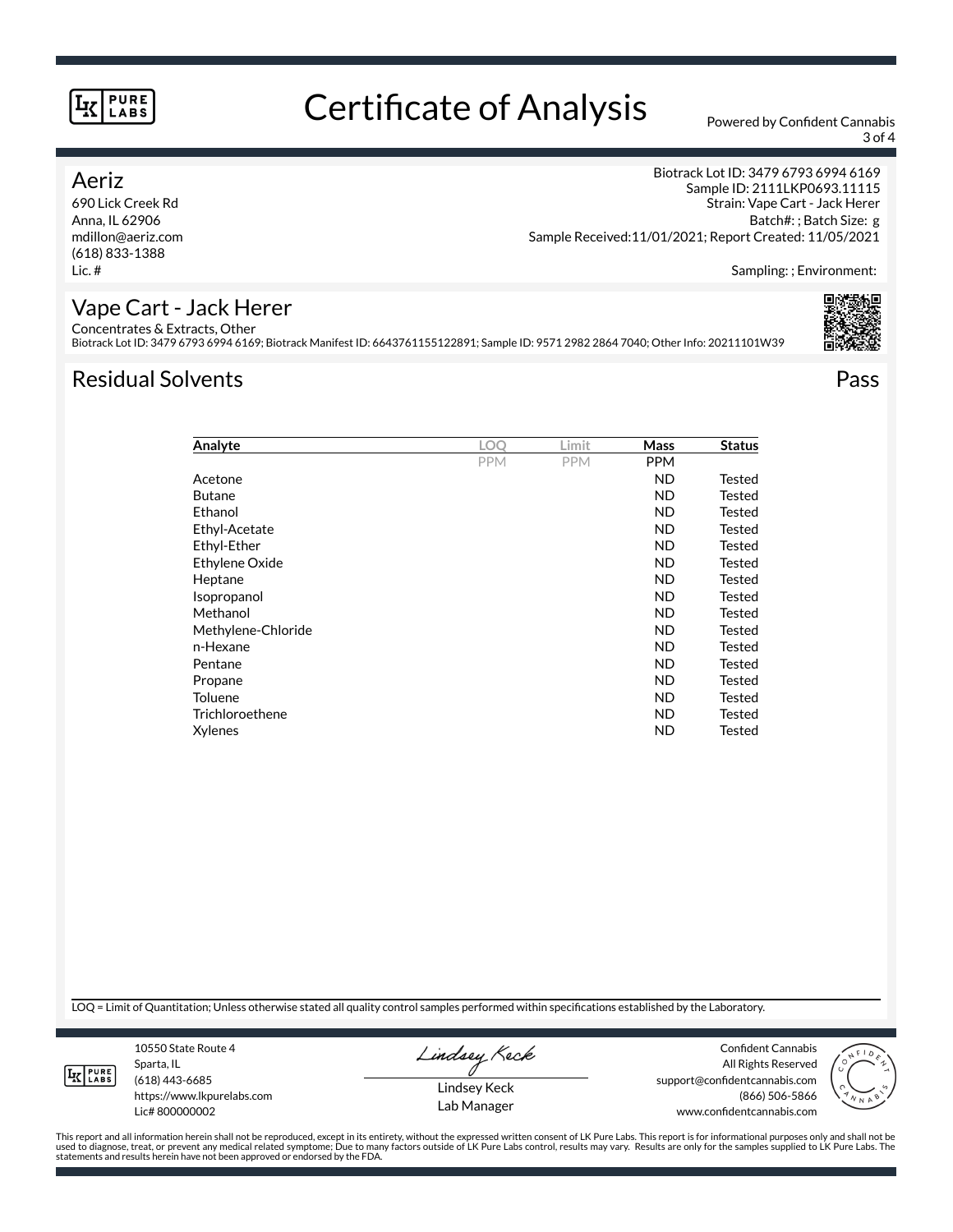# Certificate of Analysis Powered by Confident Cannabis

3 of 4

## Aeriz

690 Lick Creek Rd Anna, IL 62906 mdillon@aeriz.com (618) 833-1388 Lic. #

Biotrack Lot ID: 3479 6793 6994 6169 Sample ID: 2111LKP0693.11115 Strain: Vape Cart - Jack Herer Batch#: ; Batch Size: g Sample Received:11/01/2021; Report Created: 11/05/2021

Sampling: ; Environment:

#### Vape Cart - Jack Herer Concentrates & Extracts, Other

Biotrack Lot ID: 3479 6793 6994 6169; Biotrack Manifest ID: 6643761155122891; Sample ID: 9571 2982 2864 7040; Other Info: 20211101W39

# Residual Solvents Pass

| Analyte            | LOO        | Limit      | Mass       | <b>Status</b> |
|--------------------|------------|------------|------------|---------------|
|                    | <b>PPM</b> | <b>PPM</b> | <b>PPM</b> |               |
| Acetone            |            |            | ND         | Tested        |
| <b>Butane</b>      |            |            | ND         | Tested        |
| Ethanol            |            |            | ND         | Tested        |
| Ethyl-Acetate      |            |            | ND         | Tested        |
| Ethyl-Ether        |            |            | ND         | Tested        |
| Ethylene Oxide     |            |            | ND         | Tested        |
| Heptane            |            |            | ND         | Tested        |
| Isopropanol        |            |            | ND         | Tested        |
| Methanol           |            |            | ND         | Tested        |
| Methylene-Chloride |            |            | ND         | Tested        |
| n-Hexane           |            |            | ND         | Tested        |
| Pentane            |            |            | <b>ND</b>  | Tested        |
| Propane            |            |            | <b>ND</b>  | Tested        |
| <b>Toluene</b>     |            |            | ND         | Tested        |
| Trichloroethene    |            |            | ND         | Tested        |
| Xylenes            |            |            | ND         | Tested        |

LOQ = Limit of Quantitation; Unless otherwise stated all quality control samples performed within specifications established by the Laboratory.

**LK** LABS

Sparta, IL (618) 443-6685 https://www.lkpurelabs.com Lic# 800000002

10550 State Route 4

Lindsey Keck

Lindsey Keck Lab Manager

Confident Cannabis All Rights Reserved support@confidentcannabis.com (866) 506-5866 www.confidentcannabis.com